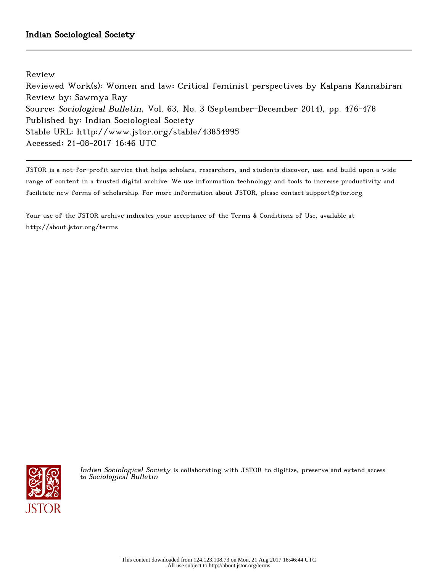Review

Reviewed Work(s): Women and law: Critical feminist perspectives by Kalpana Kannabiran Review by: Sawmya Ray Source: Sociological Bulletin, Vol. 63, No. 3 (September-December 2014), pp. 476-478 Published by: Indian Sociological Society Stable URL: http://www.jstor.org/stable/43854995 Accessed: 21-08-2017 16:46 UTC

JSTOR is a not-for-profit service that helps scholars, researchers, and students discover, use, and build upon a wide range of content in a trusted digital archive. We use information technology and tools to increase productivity and facilitate new forms of scholarship. For more information about JSTOR, please contact support@jstor.org.

Your use of the JSTOR archive indicates your acceptance of the Terms & Conditions of Use, available at http://about.jstor.org/terms



Indian Sociological Society is collaborating with JSTOR to digitize, preserve and extend access to Sociological Bulletin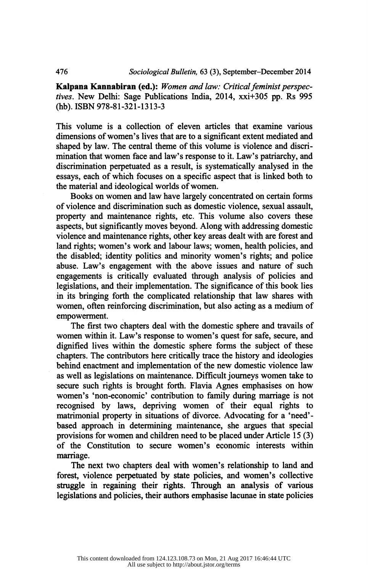Kalpana Kannabiran (ed.): Women and law: Critical feminist perspec tives. New Delhi: Sage Publications India, 2014, xxi+305 pp. Rs 995 (hb). ISBN 978-81-321-1313-3

 This volume is a collection of eleven articles that examine various dimensions of women's lives that are to a significant extent mediated and shaped by law. The central theme of this volume is violence and discri mination that women face and law's response to it. Law's patriarchy, and discrimination perpetuated as a result, is systematically analysed in the essays, each of which focuses on a specific aspect that is linked both to the material and ideological worlds of women.

 Books on women and law have largely concentrated on certain forms of violence and discrimination such as domestic violence, sexual assault, property and maintenance rights, etc. This volume also covers these aspects, but significantly moves beyond. Along with addressing domestic violence and maintenance rights, other key areas dealt with are forest and land rights; women's work and labour laws; women, health policies, and the disabled; identity politics and minority women's rights; and police abuse. Law's engagement with the above issues and nature of such engagements is critically evaluated through analysis of policies and legislations, and their implementation. The significance of this book lies in its bringing forth the complicated relationship that law shares with women, often reinforcing discrimination, but also acting as a medium of empowerment.

 The first two chapters deal with the domestic sphere and travails of women within it. Law's response to women's quest for safe, secure, and dignified lives within the domestic sphere forms the subject of these chapters. The contributors here critically trace the history and ideologies behind enactment and implementation of the new domestic violence law as well as legislations on maintenance. Difficult journeys women take to secure such rights is brought forth. Flavia Agnes emphasises on how women's 'non-economic' contribution to family during marriage is not recognised by laws, depriving women of their equal rights to matrimonial property in situations of divorce. Advocating for a 'need' based approach in determining maintenance, she argues that special provisions for women and children need to be placed under Article 15 (3) of the Constitution to secure women's economic interests within marriage.

 The next two chapters deal with women's relationship to land and forest, violence perpetuated by state policies, and women's collective struggle in regaining their rights. Through an analysis of various legislations and policies, their authors emphasise lacunae in state policies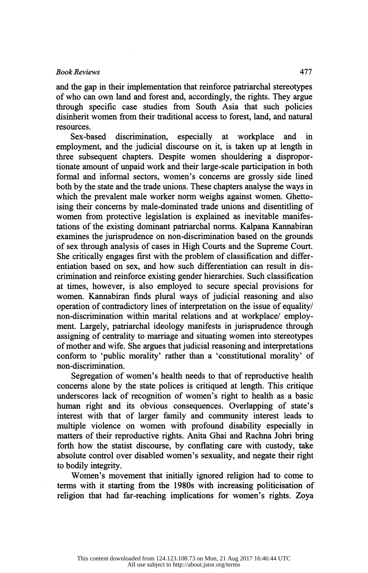## Book Reviews All

Book Reviews<br>and the gap in their implementation that reinforce patriarchal stereotypes<br>of who can own land and forest and, accordingly, the rights. They argue and the gap in their implementation that reinforce patriarchal stereotypes<br>of who can own land and forest and, accordingly, the rights. They argue<br>through specific case studies from South Asia that such policies and the gap in their implementation that reinforce patriarchal stereotypes<br>of who can own land and forest and, accordingly, the rights. They argue<br>through specific case studies from South Asia that such policies<br>disinherit of who can own land and forest and, accordingly, the rights. They argue<br>through specific case studies from South Asia that such policies<br>disinherit women from their traditional access to forest, land, and natural<br>resources resources.

 Sex-based discrimination, especially at workplace and in employment, and the judicial discourse on it, is taken up at length in three subsequent chapters. Despite women shouldering a dispropor tionate amount of unpaid work and their large-scale participation in both formal and informal sectors, women's concerns are grossly side lined both by the state and the trade unions. These chapters analyse the ways in which the prevalent male worker norm weighs against women. Ghetto ising their concerns by male-dominated trade unions and disentitling of women from protective legislation is explained as inevitable manifes tations of the existing dominant patriarchal norms. Kalpana Kannabiran examines the jurisprudence on non-discrimination based on the grounds of sex through analysis of cases in High Courts and the Supreme Court. She critically engages first with the problem of classification and differ entiation based on sex, and how such differentiation can result in dis crimination and reinforce existing gender hierarchies. Such classification at times, however, is also employed to secure special provisions for women. Kannabiran finds plural ways of judicial reasoning and also operation of contradictory lines of interpretation on the issue of equality/ non-discrimination within marital relations and at workplace/ employ ment. Largely, patriarchal ideology manifests in jurisprudence through assigning of centrality to marriage and situating women into stereotypes of mother and wife. She argues that judicial reasoning and interpretations conform to 'public morality' rather than a 'constitutional morality' of non-discrimination.

 Segregation of women's health needs to that of reproductive health concerns alone by the state polices is critiqued at length. This critique underscores lack of recognition of women's right to health as a basic human right and its obvious consequences. Overlapping of state's interest with that of larger family and community interest leads to multiple violence on women with profound disability especially in matters of their reproductive rights. Anita Ghai and Rachna Johri bring forth how the statist discourse, by conflating care with custody, take absolute control over disabled women's sexuality, and negate their right to bodily integrity.

 Women's movement that initially ignored religion had to come to terms with it starting from the 1980s with increasing politicisation of religion that had far-reaching implications for women's rights. Zoya